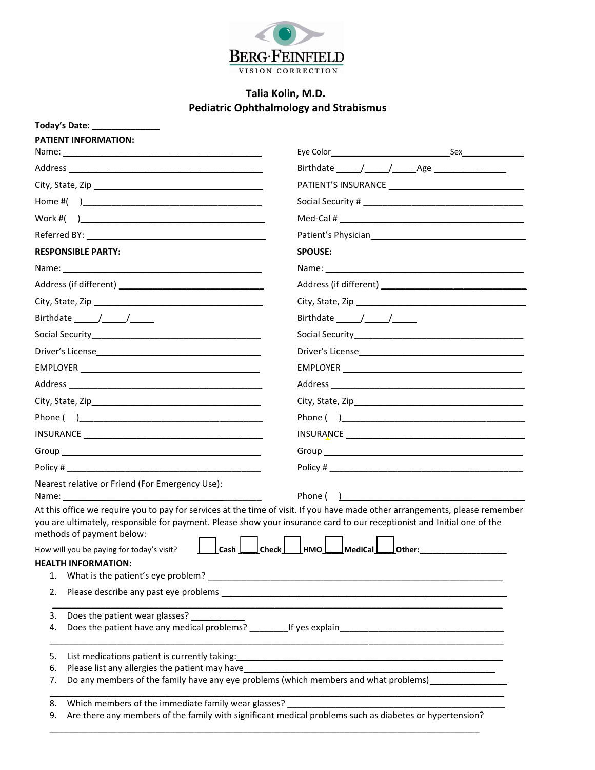

## **Talia Kolin, M.D. Pediatric Ophthalmology and Strabismus**

|                                                                                                                                       | Today's Date: 1988.                                                                                     |                                |           |  |
|---------------------------------------------------------------------------------------------------------------------------------------|---------------------------------------------------------------------------------------------------------|--------------------------------|-----------|--|
|                                                                                                                                       | <b>PATIENT INFORMATION:</b>                                                                             |                                |           |  |
|                                                                                                                                       |                                                                                                         |                                |           |  |
|                                                                                                                                       |                                                                                                         |                                |           |  |
|                                                                                                                                       |                                                                                                         |                                |           |  |
|                                                                                                                                       |                                                                                                         |                                |           |  |
|                                                                                                                                       |                                                                                                         |                                |           |  |
|                                                                                                                                       |                                                                                                         |                                |           |  |
| <b>RESPONSIBLE PARTY:</b>                                                                                                             |                                                                                                         | <b>SPOUSE:</b>                 |           |  |
|                                                                                                                                       |                                                                                                         |                                |           |  |
|                                                                                                                                       |                                                                                                         |                                |           |  |
|                                                                                                                                       |                                                                                                         |                                |           |  |
| Birthdate $\frac{1}{\sqrt{1-\frac{1}{2}}}\frac{1}{\sqrt{1-\frac{1}{2}}\sqrt{1-\frac{1}{2}}\sqrt{1-\frac{1}{2}}\sqrt{1-\frac{1}{2}}$   |                                                                                                         | Birthdate $\frac{\sqrt{2}}{2}$ |           |  |
| Social Security<br><u>Social Security</u>                                                                                             |                                                                                                         |                                |           |  |
|                                                                                                                                       |                                                                                                         |                                |           |  |
|                                                                                                                                       |                                                                                                         |                                |           |  |
|                                                                                                                                       |                                                                                                         |                                |           |  |
|                                                                                                                                       |                                                                                                         |                                |           |  |
|                                                                                                                                       |                                                                                                         |                                |           |  |
|                                                                                                                                       |                                                                                                         |                                |           |  |
|                                                                                                                                       |                                                                                                         |                                |           |  |
|                                                                                                                                       |                                                                                                         |                                |           |  |
|                                                                                                                                       | Nearest relative or Friend (For Emergency Use):<br>Name: Name                                           |                                | Phone ( ) |  |
| At this office we require you to pay for services at the time of visit. If you have made other arrangements, please remember          |                                                                                                         |                                |           |  |
| you are ultimately, responsible for payment. Please show your insurance card to our receptionist and Initial one of the               |                                                                                                         |                                |           |  |
| methods of payment below:<br>$\mathsf{Cash} \sqcup \mathsf{Check} \sqcup \mathsf{HMO} \sqcup \mathsf{Medical} \sqcup \mathsf{Other}.$ |                                                                                                         |                                |           |  |
|                                                                                                                                       | How will you be paying for today's visit?<br><b>HEALTH INFORMATION:</b>                                 |                                |           |  |
| 1.                                                                                                                                    |                                                                                                         |                                |           |  |
| 2.                                                                                                                                    |                                                                                                         |                                |           |  |
| 3.                                                                                                                                    | Does the patient wear glasses?                                                                          |                                |           |  |
| 4.                                                                                                                                    |                                                                                                         |                                |           |  |
| 5.                                                                                                                                    |                                                                                                         |                                |           |  |
| 6.                                                                                                                                    | Please list any allergies the patient may have                                                          |                                |           |  |
| 7.                                                                                                                                    | Do any members of the family have any eye problems (which members and what problems)_______________     |                                |           |  |
| 8.                                                                                                                                    | Which members of the immediate family wear glasses?                                                     |                                |           |  |
| 9.                                                                                                                                    | Are there any members of the family with significant medical problems such as diabetes or hypertension? |                                |           |  |

\_\_\_\_\_\_\_\_\_\_\_\_\_\_\_\_\_\_\_\_\_\_\_\_\_\_\_\_\_\_\_\_\_\_\_\_\_\_\_\_\_\_\_\_\_\_\_\_\_\_\_\_\_\_\_\_\_\_\_\_\_\_\_\_\_\_\_\_\_\_\_\_\_\_\_\_\_\_\_\_\_\_\_\_\_\_\_\_\_